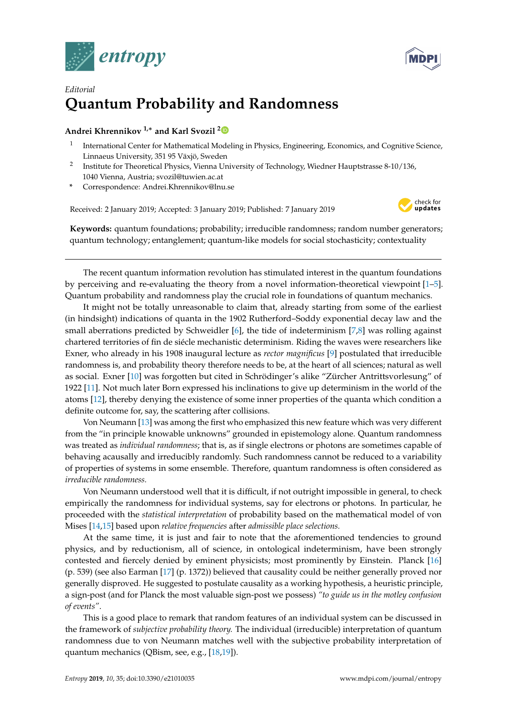



## *Editorial* **Quantum Probability and Randomness**

## **Andrei Khrennikov 1,**<sup>∗</sup> **and Karl Svozil [2](https://orcid.org/0000-0001-6554-2802)**

- 1 International Center for Mathematical Modeling in Physics, Engineering, Economics, and Cognitive Science, Linnaeus University, 351 95 Växjö, Sweden
- 2 Institute for Theoretical Physics, Vienna University of Technology, Wiedner Hauptstrasse 8-10/136, 1040 Vienna, Austria; svozil@tuwien.ac.at
- **\*** Correspondence: Andrei.Khrennikov@lnu.se

Received: 2 January 2019; Accepted: 3 January 2019; Published: 7 January 2019



**Keywords:** quantum foundations; probability; irreducible randomness; random number generators; quantum technology; entanglement; quantum-like models for social stochasticity; contextuality

The recent quantum information revolution has stimulated interest in the quantum foundations by perceiving and re-evaluating the theory from a novel information-theoretical viewpoint [\[1–](#page-3-0)[5\]](#page-3-1). Quantum probability and randomness play the crucial role in foundations of quantum mechanics.

It might not be totally unreasonable to claim that, already starting from some of the earliest (in hindsight) indications of quanta in the 1902 Rutherford–Soddy exponential decay law and the small aberrations predicted by Schweidler [\[6\]](#page-3-2), the tide of indeterminism [\[7,](#page-3-3)[8\]](#page-3-4) was rolling against chartered territories of fin de siécle mechanistic determinism. Riding the waves were researchers like Exner, who already in his 1908 inaugural lecture as *rector magnificus* [\[9\]](#page-3-5) postulated that irreducible randomness is, and probability theory therefore needs to be, at the heart of all sciences; natural as well as social. Exner [\[10\]](#page-3-6) was forgotten but cited in Schrödinger's alike "Zürcher Antrittsvorlesung" of 1922 [\[11\]](#page-4-0). Not much later Born expressed his inclinations to give up determinism in the world of the atoms [\[12\]](#page-4-1), thereby denying the existence of some inner properties of the quanta which condition a definite outcome for, say, the scattering after collisions.

Von Neumann [\[13\]](#page-4-2) was among the first who emphasized this new feature which was very different from the "in principle knowable unknowns" grounded in epistemology alone. Quantum randomness was treated as *individual randomness*; that is, as if single electrons or photons are sometimes capable of behaving acausally and irreducibly randomly. Such randomness cannot be reduced to a variability of properties of systems in some ensemble. Therefore, quantum randomness is often considered as *irreducible randomness.*

Von Neumann understood well that it is difficult, if not outright impossible in general, to check empirically the randomness for individual systems, say for electrons or photons. In particular, he proceeded with the *statistical interpretation* of probability based on the mathematical model of von Mises [\[14](#page-4-3)[,15\]](#page-4-4) based upon *relative frequencies* after *admissible place selections.*

At the same time, it is just and fair to note that the aforementioned tendencies to ground physics, and by reductionism, all of science, in ontological indeterminism, have been strongly contested and fiercely denied by eminent physicists; most prominently by Einstein. Planck [\[16\]](#page-4-5) (p. 539) (see also Earman [\[17\]](#page-4-6) (p. 1372)) believed that causality could be neither generally proved nor generally disproved. He suggested to postulate causality as a working hypothesis, a heuristic principle, a sign-post (and for Planck the most valuable sign-post we possess) *"to guide us in the motley confusion of events"*.

This is a good place to remark that random features of an individual system can be discussed in the framework of *subjective probability theory.* The individual (irreducible) interpretation of quantum randomness due to von Neumann matches well with the subjective probability interpretation of quantum mechanics (QBism, see, e.g., [\[18,](#page-4-7)[19\]](#page-4-8)).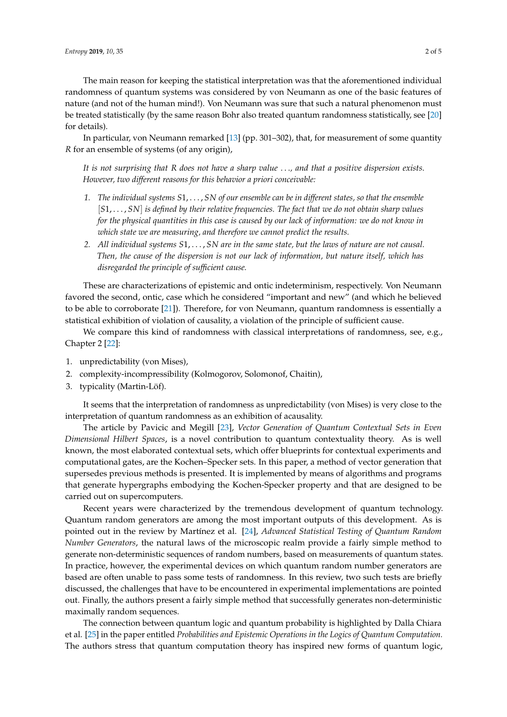The main reason for keeping the statistical interpretation was that the aforementioned individual randomness of quantum systems was considered by von Neumann as one of the basic features of nature (and not of the human mind!). Von Neumann was sure that such a natural phenomenon must be treated statistically (by the same reason Bohr also treated quantum randomness statistically, see [\[20\]](#page-4-9) for details).

In particular, von Neumann remarked [\[13\]](#page-4-2) (pp. 301–302), that, for measurement of some quantity *R* for an ensemble of systems (of any origin),

*It is not surprising that R does not have a sharp value* . . .*, and that a positive dispersion exists. However, two different reasons for this behavior a priori conceivable:*

- *1. The individual systems S*1, . . . , *SN of our ensemble can be in different states, so that the ensemble* [*S*1, . . . , *SN*] *is defined by their relative frequencies. The fact that we do not obtain sharp values for the physical quantities in this case is caused by our lack of information: we do not know in which state we are measuring, and therefore we cannot predict the results.*
- *2. All individual systems S*1, . . . , *SN are in the same state, but the laws of nature are not causal. Then, the cause of the dispersion is not our lack of information, but nature itself, which has disregarded the principle of sufficient cause.*

These are characterizations of epistemic and ontic indeterminism, respectively. Von Neumann favored the second, ontic, case which he considered "important and new" (and which he believed to be able to corroborate [\[21\]](#page-4-10)). Therefore, for von Neumann, quantum randomness is essentially a statistical exhibition of violation of causality, a violation of the principle of sufficient cause.

We compare this kind of randomness with classical interpretations of randomness, see, e.g., Chapter 2 [\[22\]](#page-4-11):

- 1. unpredictability (von Mises),
- 2. complexity-incompressibility (Kolmogorov, Solomonof, Chaitin),
- 3. typicality (Martin-Löf).

It seems that the interpretation of randomness as unpredictability (von Mises) is very close to the interpretation of quantum randomness as an exhibition of acausality.

The article by Pavicic and Megill [\[23\]](#page-4-12), *Vector Generation of Quantum Contextual Sets in Even Dimensional Hilbert Spaces*, is a novel contribution to quantum contextuality theory. As is well known, the most elaborated contextual sets, which offer blueprints for contextual experiments and computational gates, are the Kochen–Specker sets. In this paper, a method of vector generation that supersedes previous methods is presented. It is implemented by means of algorithms and programs that generate hypergraphs embodying the Kochen-Specker property and that are designed to be carried out on supercomputers.

Recent years were characterized by the tremendous development of quantum technology. Quantum random generators are among the most important outputs of this development. As is pointed out in the review by Martínez et al. [\[24\]](#page-4-13), *Advanced Statistical Testing of Quantum Random Number Generators*, the natural laws of the microscopic realm provide a fairly simple method to generate non-deterministic sequences of random numbers, based on measurements of quantum states. In practice, however, the experimental devices on which quantum random number generators are based are often unable to pass some tests of randomness. In this review, two such tests are briefly discussed, the challenges that have to be encountered in experimental implementations are pointed out. Finally, the authors present a fairly simple method that successfully generates non-deterministic maximally random sequences.

The connection between quantum logic and quantum probability is highlighted by Dalla Chiara et al. [\[25\]](#page-4-14) in the paper entitled *Probabilities and Epistemic Operations in the Logics of Quantum Computation.* The authors stress that quantum computation theory has inspired new forms of quantum logic,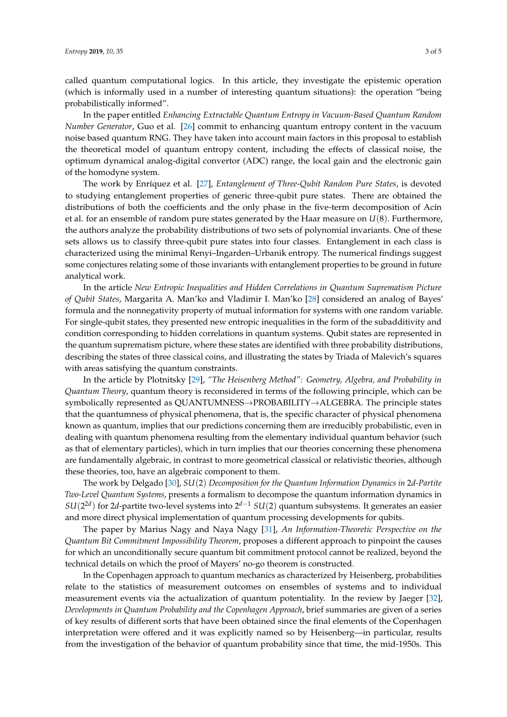called quantum computational logics. In this article, they investigate the epistemic operation (which is informally used in a number of interesting quantum situations): the operation "being probabilistically informed".

In the paper entitled *Enhancing Extractable Quantum Entropy in Vacuum-Based Quantum Random Number Generator*, Guo et al. [\[26\]](#page-4-15) commit to enhancing quantum entropy content in the vacuum noise based quantum RNG. They have taken into account main factors in this proposal to establish the theoretical model of quantum entropy content, including the effects of classical noise, the optimum dynamical analog-digital convertor (ADC) range, the local gain and the electronic gain of the homodyne system.

The work by Enríquez et al. [\[27\]](#page-4-16), *Entanglement of Three-Qubit Random Pure States*, is devoted to studying entanglement properties of generic three-qubit pure states. There are obtained the distributions of both the coefficients and the only phase in the five-term decomposition of Acín et al. for an ensemble of random pure states generated by the Haar measure on *U*(8). Furthermore, the authors analyze the probability distributions of two sets of polynomial invariants. One of these sets allows us to classify three-qubit pure states into four classes. Entanglement in each class is characterized using the minimal Renyi–Ingarden–Urbanik entropy. The numerical findings suggest some conjectures relating some of those invariants with entanglement properties to be ground in future analytical work.

In the article *New Entropic Inequalities and Hidden Correlations in Quantum Suprematism Picture of Qubit States*, Margarita A. Man'ko and Vladimir I. Man'ko [\[28\]](#page-4-17) considered an analog of Bayes' formula and the nonnegativity property of mutual information for systems with one random variable. For single-qubit states, they presented new entropic inequalities in the form of the subadditivity and condition corresponding to hidden correlations in quantum systems. Qubit states are represented in the quantum suprematism picture, where these states are identified with three probability distributions, describing the states of three classical coins, and illustrating the states by Triada of Malevich's squares with areas satisfying the quantum constraints.

In the article by Plotnitsky [\[29\]](#page-4-18), *"The Heisenberg Method": Geometry, Algebra, and Probability in Quantum Theory*, quantum theory is reconsidered in terms of the following principle, which can be symbolically represented as QUANTUMNESS→PROBABILITY→ALGEBRA. The principle states that the quantumness of physical phenomena, that is, the specific character of physical phenomena known as quantum, implies that our predictions concerning them are irreducibly probabilistic, even in dealing with quantum phenomena resulting from the elementary individual quantum behavior (such as that of elementary particles), which in turn implies that our theories concerning these phenomena are fundamentally algebraic, in contrast to more geometrical classical or relativistic theories, although these theories, too, have an algebraic component to them.

The work by Delgado [\[30\]](#page-4-19), *SU*(2) *Decomposition for the Quantum Information Dynamics in* 2*d-Partite Two-Level Quantum Systems*, presents a formalism to decompose the quantum information dynamics in *SU*(2 2*d* ) for 2*d*-partite two-level systems into 2 *<sup>d</sup>*−<sup>1</sup> *SU*(2) quantum subsystems. It generates an easier and more direct physical implementation of quantum processing developments for qubits.

The paper by Marius Nagy and Naya Nagy [\[31\]](#page-4-20), *An Information-Theoretic Perspective on the Quantum Bit Commitment Impossibility Theorem*, proposes a different approach to pinpoint the causes for which an unconditionally secure quantum bit commitment protocol cannot be realized, beyond the technical details on which the proof of Mayers' no-go theorem is constructed.

In the Copenhagen approach to quantum mechanics as characterized by Heisenberg, probabilities relate to the statistics of measurement outcomes on ensembles of systems and to individual measurement events via the actualization of quantum potentiality. In the review by Jaeger [\[32\]](#page-4-21), *Developments in Quantum Probability and the Copenhagen Approach*, brief summaries are given of a series of key results of different sorts that have been obtained since the final elements of the Copenhagen interpretation were offered and it was explicitly named so by Heisenberg—in particular, results from the investigation of the behavior of quantum probability since that time, the mid-1950s. This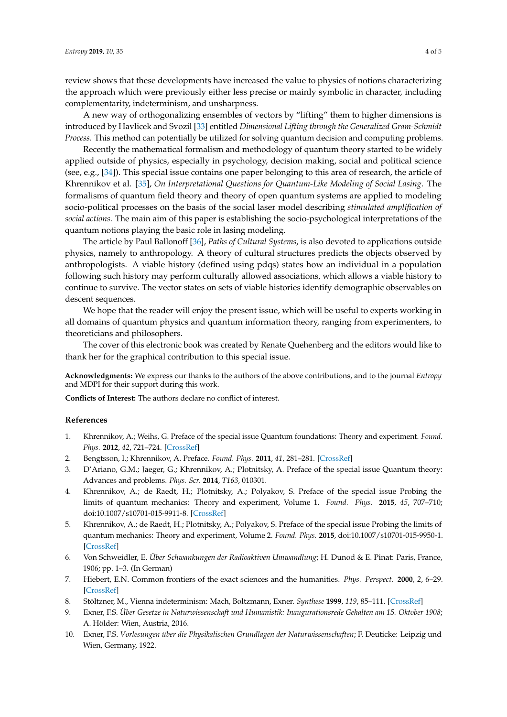review shows that these developments have increased the value to physics of notions characterizing the approach which were previously either less precise or mainly symbolic in character, including complementarity, indeterminism, and unsharpness.

A new way of orthogonalizing ensembles of vectors by "lifting" them to higher dimensions is introduced by Havlicek and Svozil [\[33\]](#page-4-22) entitled *Dimensional Lifting through the Generalized Gram-Schmidt Process*. This method can potentially be utilized for solving quantum decision and computing problems.

Recently the mathematical formalism and methodology of quantum theory started to be widely applied outside of physics, especially in psychology, decision making, social and political science (see, e.g., [\[34\]](#page-4-23)). This special issue contains one paper belonging to this area of research, the article of Khrennikov et al. [\[35\]](#page-4-24), *On Interpretational Questions for Quantum-Like Modeling of Social Lasing*. The formalisms of quantum field theory and theory of open quantum systems are applied to modeling socio-political processes on the basis of the social laser model describing *stimulated amplification of social actions.* The main aim of this paper is establishing the socio-psychological interpretations of the quantum notions playing the basic role in lasing modeling.

The article by Paul Ballonoff [\[36\]](#page-4-25), *Paths of Cultural Systems*, is also devoted to applications outside physics, namely to anthropology. A theory of cultural structures predicts the objects observed by anthropologists. A viable history (defined using pdqs) states how an individual in a population following such history may perform culturally allowed associations, which allows a viable history to continue to survive. The vector states on sets of viable histories identify demographic observables on descent sequences.

We hope that the reader will enjoy the present issue, which will be useful to experts working in all domains of quantum physics and quantum information theory, ranging from experimenters, to theoreticians and philosophers.

The cover of this electronic book was created by Renate Quehenberg and the editors would like to thank her for the graphical contribution to this special issue.

**Acknowledgments:** We express our thanks to the authors of the above contributions, and to the journal *Entropy* and MDPI for their support during this work.

**Conflicts of Interest:** The authors declare no conflict of interest.

## **References**

- <span id="page-3-0"></span>1. Khrennikov, A.; Weihs, G. Preface of the special issue Quantum foundations: Theory and experiment. *Found. Phys.* **2012**, *42*, 721–724. [\[CrossRef\]](http://dx.doi.org/10.1007/s10701-012-9644-x)
- 2. Bengtsson, I.; Khrennikov, A. Preface. *Found. Phys.* **2011**, *41*, 281–281. [\[CrossRef\]](http://dx.doi.org/10.1007/s10701-010-9524-1)
- 3. D'Ariano, G.M.; Jaeger, G.; Khrennikov, A.; Plotnitsky, A. Preface of the special issue Quantum theory: Advances and problems. *Phys. Scr.* **2014**, *T163*, 010301.
- 4. Khrennikov, A.; de Raedt, H.; Plotnitsky, A.; Polyakov, S. Preface of the special issue Probing the limits of quantum mechanics: Theory and experiment, Volume 1. *Found. Phys.* **2015**, *45*, 707–710; doi:10.1007/s10701-015-9911-8. [\[CrossRef\]](http://dx.doi.org/10.1007/s10701-015-9911-8)
- <span id="page-3-1"></span>5. Khrennikov, A.; de Raedt, H.; Plotnitsky, A.; Polyakov, S. Preface of the special issue Probing the limits of quantum mechanics: Theory and experiment, Volume 2. *Found. Phys.* **2015**, doi:10.1007/s10701-015-9950-1. [\[CrossRef\]](http://dx.doi.org/10.1007/s10701-015-9950-1)
- <span id="page-3-2"></span>6. Von Schweidler, E. *Über Schwankungen der Radioaktiven Umwandlung*; H. Dunod & E. Pinat: Paris, France, 1906; pp. 1–3. (In German)
- <span id="page-3-3"></span>7. Hiebert, E.N. Common frontiers of the exact sciences and the humanities. *Phys. Perspect.* **2000**, *2*, 6–29. [\[CrossRef\]](http://dx.doi.org/10.1007/s000160050034)
- <span id="page-3-4"></span>8. Stöltzner, M., Vienna indeterminism: Mach, Boltzmann, Exner. *Synthese* **1999**, *119*, 85–111. [\[CrossRef\]](http://dx.doi.org/10.1023/A:1005243320885)
- <span id="page-3-5"></span>9. Exner, F.S. *Über Gesetze in Naturwissenschaft und Humanistik: Inaugurationsrede Gehalten am 15. Oktober 1908*; A. Hölder: Wien, Austria, 2016.
- <span id="page-3-6"></span>10. Exner, F.S. *Vorlesungen über die Physikalischen Grundlagen der Naturwissenschaften*; F. Deuticke: Leipzig und Wien, Germany, 1922.